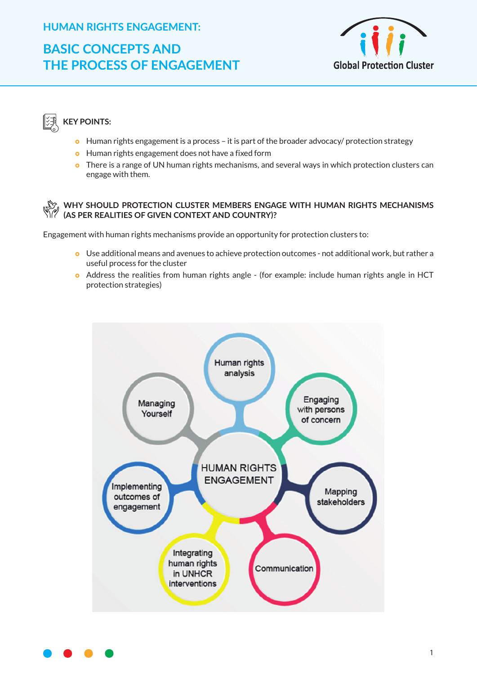#### **HUMAN RIGHTS ENGAGEMENT:**

## **BASIC CONCEPTS AND THE PROCESS OF ENGAGEMENT**



### **KEY POINTS:**

- **o** Human rights engagement is a process it is part of the broader advocacy/ protection strategy
- **•** Human rights engagement does not have a fixed form
- o There is a range of UN human rights mechanisms, and several ways in which protection clusters can engage with them.

#### **WHY SHOULD PROTECTION CLUSTER MEMBERS ENGAGE WITH HUMAN RIGHTS MECHANISMS (AS PER REALITIES OF GIVEN CONTEXT AND COUNTRY)?**

Engagement with human rights mechanisms provide an opportunity for protection clusters to:

- } Use additional means and avenues to achieve protection outcomes not additional work, but rather a useful process for the cluster
- <sup>o</sup> Address the realities from human rights angle (for example: include human rights angle in HCT protection strategies)